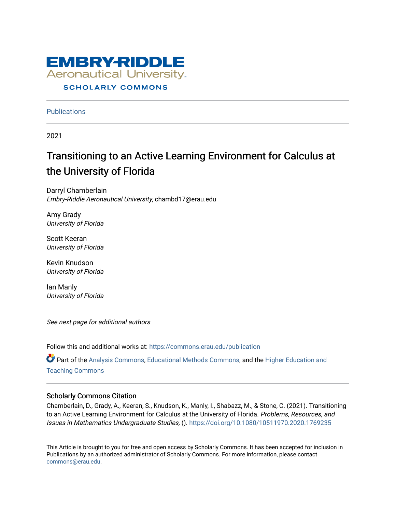

## **Publications**

2021

# Transitioning to an Active Learning Environment for Calculus at the University of Florida

Darryl Chamberlain Embry-Riddle Aeronautical University, chambd17@erau.edu

Amy Grady University of Florida

Scott Keeran University of Florida

Kevin Knudson University of Florida

Ian Manly University of Florida

See next page for additional authors

Follow this and additional works at: [https://commons.erau.edu/publication](https://commons.erau.edu/publication?utm_source=commons.erau.edu%2Fpublication%2F1638&utm_medium=PDF&utm_campaign=PDFCoverPages) 

Part of the [Analysis Commons](http://network.bepress.com/hgg/discipline/177?utm_source=commons.erau.edu%2Fpublication%2F1638&utm_medium=PDF&utm_campaign=PDFCoverPages), [Educational Methods Commons](http://network.bepress.com/hgg/discipline/1227?utm_source=commons.erau.edu%2Fpublication%2F1638&utm_medium=PDF&utm_campaign=PDFCoverPages), and the [Higher Education and](http://network.bepress.com/hgg/discipline/806?utm_source=commons.erau.edu%2Fpublication%2F1638&utm_medium=PDF&utm_campaign=PDFCoverPages)  [Teaching Commons](http://network.bepress.com/hgg/discipline/806?utm_source=commons.erau.edu%2Fpublication%2F1638&utm_medium=PDF&utm_campaign=PDFCoverPages)

### Scholarly Commons Citation

Chamberlain, D., Grady, A., Keeran, S., Knudson, K., Manly, I., Shabazz, M., & Stone, C. (2021). Transitioning to an Active Learning Environment for Calculus at the University of Florida. Problems, Resources, and Issues in Mathematics Undergraduate Studies, (). <https://doi.org/10.1080/10511970.2020.1769235>

This Article is brought to you for free and open access by Scholarly Commons. It has been accepted for inclusion in Publications by an authorized administrator of Scholarly Commons. For more information, please contact [commons@erau.edu](mailto:commons@erau.edu).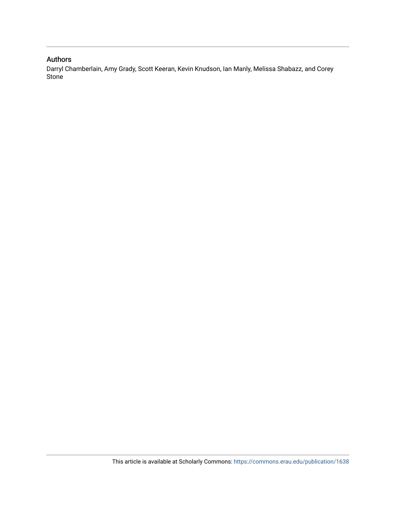## Authors

Darryl Chamberlain, Amy Grady, Scott Keeran, Kevin Knudson, Ian Manly, Melissa Shabazz, and Corey Stone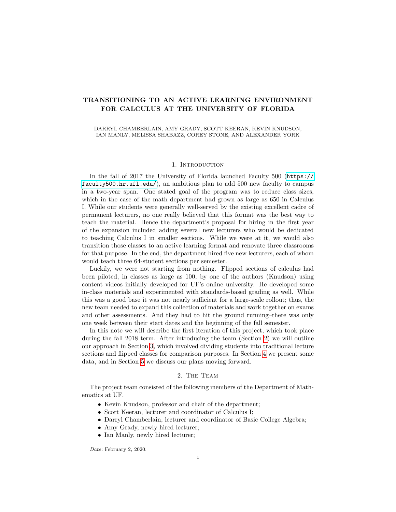#### TRANSITIONING TO AN ACTIVE LEARNING ENVIRONMENT FOR CALCULUS AT THE UNIVERSITY OF FLORIDA

DARRYL CHAMBERLAIN, AMY GRADY, SCOTT KEERAN, KEVIN KNUDSON, IAN MANLY, MELISSA SHABAZZ, COREY STONE, AND ALEXANDER YORK

#### 1. INTRODUCTION

In the fall of 2017 the University of Florida launched Faculty 500 ([https://](https://faculty500.hr.ufl.edu/) [faculty500.hr.ufl.edu/](https://faculty500.hr.ufl.edu/)), an ambitious plan to add 500 new faculty to campus in a two-year span. One stated goal of the program was to reduce class sizes, which in the case of the math department had grown as large as 650 in Calculus I. While our students were generally well-served by the existing excellent cadre of permanent lecturers, no one really believed that this format was the best way to teach the material. Hence the department's proposal for hiring in the first year of the expansion included adding several new lecturers who would be dedicated to teaching Calculus I in smaller sections. While we were at it, we would also transition those classes to an active learning format and renovate three classrooms for that purpose. In the end, the department hired five new lecturers, each of whom would teach three 64-student sections per semester.

Luckily, we were not starting from nothing. Flipped sections of calculus had been piloted, in classes as large as 100, by one of the authors (Knudson) using content videos initially developed for UF's online university. He developed some in-class materials and experimented with standards-based grading as well. While this was a good base it was not nearly sufficient for a large-scale rollout; thus, the new team needed to expand this collection of materials and work together on exams and other assessments. And they had to hit the ground running–there was only one week between their start dates and the beginning of the fall semester.

In this note we will describe the first iteration of this project, which took place during the fall 2018 term. After introducing the team (Section [2\)](#page-2-0) we will outline our approach in Section [3,](#page-3-0) which involved dividing students into traditional lecture sections and flipped classes for comparison purposes. In Section [4](#page-6-0) we present some data, and in Section [5](#page-11-0) we discuss our plans moving forward.

#### 2. The Team

<span id="page-2-0"></span>The project team consisted of the following members of the Department of Mathematics at UF.

- Kevin Knudson, professor and chair of the department;
- Scott Keeran, lecturer and coordinator of Calculus I;
- Darryl Chamberlain, lecturer and coordinator of Basic College Algebra;
- Amy Grady, newly hired lecturer;
- Ian Manly, newly hired lecturer;

Date: February 2, 2020.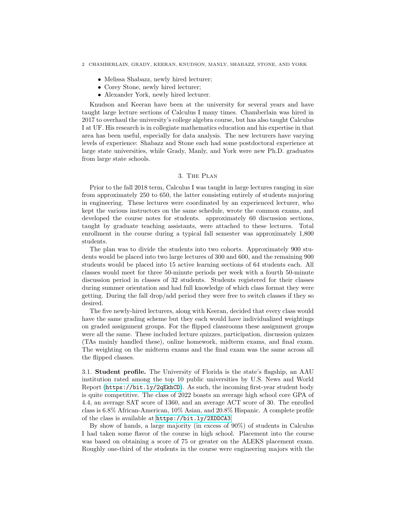- Melissa Shabazz, newly hired lecturer;
- Corey Stone, newly hired lecturer;
- Alexander York, newly hired lecturer.

Knudson and Keeran have been at the university for several years and have taught large lecture sections of Calculus I many times. Chamberlain was hired in 2017 to overhaul the university's college algebra course, but has also taught Calculus I at UF. His research is in collegiate mathematics education and his expertise in that area has been useful, especially for data analysis. The new lecturers have varying levels of experience: Shabazz and Stone each had some postdoctoral experience at large state universities, while Grady, Manly, and York were new Ph.D. graduates from large state schools.

#### 3. The Plan

<span id="page-3-0"></span>Prior to the fall 2018 term, Calculus I was taught in large lectures ranging in size from approximately 250 to 650, the latter consisting entirely of students majoring in engineering. These lectures were coordinated by an experienced lecturer, who kept the various instructors on the same schedule, wrote the common exams, and developed the course notes for students. approximately 60 discussion sections, taught by graduate teaching assistants, were attached to these lectures. Total enrollment in the course during a typical fall semester was approximately 1,800 students.

The plan was to divide the students into two cohorts. Approximately 900 students would be placed into two large lectures of 300 and 600, and the remaining 900 students would be placed into 15 active learning sections of 64 students each. All classes would meet for three 50-minute periods per week with a fourth 50-minute discussion period in classes of 32 students. Students registered for their classes during summer orientation and had full knowledge of which class format they were getting. During the fall drop/add period they were free to switch classes if they so desired.

The five newly-hired lecturers, along with Keeran, decided that every class would have the same grading scheme but they each would have individualized weightings on graded assignment groups. For the flipped classrooms these assignment groups were all the same. These included lecture quizzes, participation, discussion quizzes (TAs mainly handled these), online homework, midterm exams, and final exam. The weighting on the midterm exams and the final exam was the same across all the flipped classes.

3.1. Student profile. The University of Florida is the state's flagship, an AAU institution rated among the top 10 public universities by U.S. News and World Report (<https://bit.ly/2qEkhCD>). As such, the incoming first-year student body is quite competitive. The class of 2022 boasts an average high school core GPA of 4.4, an average SAT score of 1360, and an average ACT score of 30. The enrolled class is 6.8% African-American, 10% Asian, and 20.8% Hispanic. A complete profile of the class is available at <https://bit.ly/2XDDCA3>.

By show of hands, a large majority (in excess of 90%) of students in Calculus I had taken some flavor of the course in high school. Placement into the course was based on obtaining a score of 75 or greater on the ALEKS placement exam. Roughly one-third of the students in the course were engineering majors with the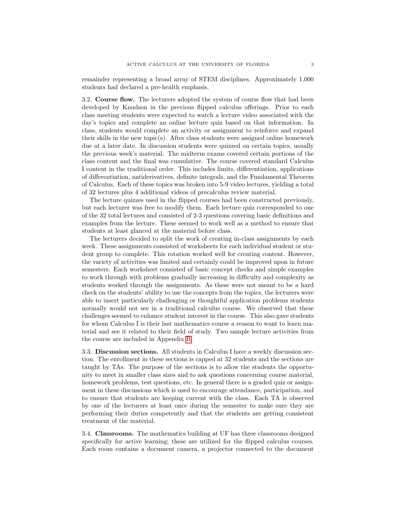remainder representing a broad array of STEM disciplines. Approximately 1,000 students had declared a pre-health emphasis.

3.2. Course flow. The lecturers adopted the system of course flow that had been developed by Knudson in the previous flipped calculus offerings. Prior to each class meeting students were expected to watch a lecture video associated with the day's topics and complete an online lecture quiz based on that information. In class, students would complete an activity or assignment to reinforce and expand their skills in the new topic(s). After class students were assigned online homework due at a later date. In discussion students were quizzed on certain topics, usually the previous week's material. The midterm exams covered certain portions of the class content and the final was cumulative. The course covered standard Calculus I content in the traditional order. This includes limits, differentiation, applications of differentiation, antiderivatives, definite integrals, and the Fundamental Theorem of Calculus. Each of these topics was broken into 5-9 video lectures, yielding a total of 32 lectures plus 4 additional videos of precalculus review material.

The lecture quizzes used in the flipped courses had been constructed previously, but each lecturer was free to modify them. Each lecture quiz corresponded to one of the 32 total lectures and consisted of 2-3 questions covering basic definitions and examples from the lecture. These seemed to work well as a method to ensure that students at least glanced at the material before class.

The lecturers decided to split the work of creating in-class assignments by each week. These assignments consisted of worksheets for each individual student or student group to complete. This rotation worked well for creating content. However, the variety of activities was limited and certainly could be improved upon in future semesters. Each worksheet consisted of basic concept checks and simple examples to work through with problems gradually increasing in difficulty and complexity as students worked through the assignments. As these were not meant to be a hard check on the students' ability to use the concepts from the topics, the lecturers were able to insert particularly challenging or thoughtful application problems students normally would not see in a traditional calculus course. We observed that these challenges seemed to enhance student interest in the course. This also gave students for whom Calculus I is their last mathematics course a reason to want to learn material and see it related to their field of study. Two sample lecture activities from the course are included in Appendix [B.](#page-16-0)

3.3. Discussion sections. All students in Calculus I have a weekly discussion section. The enrollment in these sections is capped at 32 students and the sections are taught by TAs. The purpose of the sections is to allow the students the opportunity to meet in smaller class sizes and to ask questions concerning course material, homework problems, test questions, etc. In general there is a graded quiz or assignment in these discussions which is used to encourage attendance, participation, and to ensure that students are keeping current with the class. Each TA is observed by one of the lecturers at least once during the semester to make sure they are performing their duties competently and that the students are getting consistent treatment of the material.

3.4. Classrooms. The mathematics building at UF has three classrooms designed specifically for active learning; these are utilized for the flipped calculus courses. Each room contains a document camera, a projector connected to the document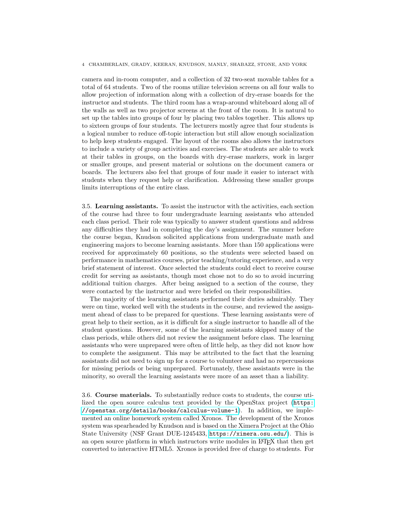camera and in-room computer, and a collection of 32 two-seat movable tables for a total of 64 students. Two of the rooms utilize television screens on all four walls to allow projection of information along with a collection of dry-erase boards for the instructor and students. The third room has a wrap-around whiteboard along all of the walls as well as two projector screens at the front of the room. It is natural to set up the tables into groups of four by placing two tables together. This allows up to sixteen groups of four students. The lecturers mostly agree that four students is a logical number to reduce off-topic interaction but still allow enough socialization to help keep students engaged. The layout of the rooms also allows the instructors to include a variety of group activities and exercises. The students are able to work at their tables in groups, on the boards with dry-erase markers, work in larger or smaller groups, and present material or solutions on the document camera or boards. The lecturers also feel that groups of four made it easier to interact with students when they request help or clarification. Addressing these smaller groups limits interruptions of the entire class.

3.5. Learning assistants. To assist the instructor with the activities, each section of the course had three to four undergraduate learning assistants who attended each class period. Their role was typically to answer student questions and address any difficulties they had in completing the day's assignment. The summer before the course began, Knudson solicited applications from undergraduate math and engineering majors to become learning assistants. More than 150 applications were received for approximately 60 positions, so the students were selected based on performance in mathematics courses, prior teaching/tutoring experience, and a very brief statement of interest. Once selected the students could elect to receive course credit for serving as assistants, though most chose not to do so to avoid incurring additional tuition charges. After being assigned to a section of the course, they were contacted by the instructor and were briefed on their responsibilities.

The majority of the learning assistants performed their duties admirably. They were on time, worked well with the students in the course, and reviewed the assignment ahead of class to be prepared for questions. These learning assistants were of great help to their section, as it is difficult for a single instructor to handle all of the student questions. However, some of the learning assistants skipped many of the class periods, while others did not review the assignment before class. The learning assistants who were unprepared were often of little help, as they did not know how to complete the assignment. This may be attributed to the fact that the learning assistants did not need to sign up for a course to volunteer and had no repercussions for missing periods or being unprepared. Fortunately, these assistants were in the minority, so overall the learning assistants were more of an asset than a liability.

3.6. Course materials. To substantially reduce costs to students, the course utilized the open source calculus text provided by the OpenStax project ([https:](https://openstax.org/details/books/calculus-volume-1) [//openstax.org/details/books/calculus-volume-1](https://openstax.org/details/books/calculus-volume-1)). In addition, we implemented an online homework system called Xronos. The development of the Xronos system was spearheaded by Knudson and is based on the Ximera Project at the Ohio State University (NSF Grant DUE-1245433, <https://ximera.osu.edu/>). This is an open source platform in which instructors write modules in LAT<sub>EX</sub> that then get converted to interactive HTML5. Xronos is provided free of charge to students. For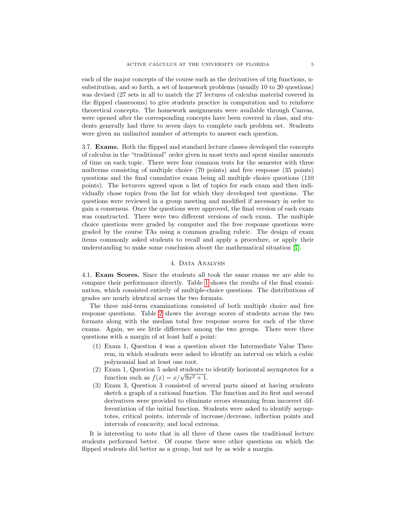each of the major concepts of the course such as the derivatives of trig functions, usubstitution, and so forth, a set of homework problems (usually 10 to 20 questions) was devised (27 sets in all to match the 27 lectures of calculus material covered in the flipped classrooms) to give students practice in computation and to reinforce theoretical concepts. The homework assignments were available through Canvas, were opened after the corresponding concepts have been covered in class, and students generally had three to seven days to complete each problem set. Students were given an unlimited number of attempts to answer each question.

3.7. Exams. Both the flipped and standard lecture classes developed the concepts of calculus in the "traditional" order given in most texts and spent similar amounts of time on each topic. There were four common tests for the semester with three midterms consisting of multiple choice (70 points) and free response (35 points) questions and the final cumulative exam being all multiple choice questions (110 points). The lecturers agreed upon a list of topics for each exam and then individually chose topics from the list for which they developed test questions. The questions were reviewed in a group meeting and modified if necessary in order to gain a consensus. Once the questions were approved, the final version of each exam was constructed. There were two different versions of each exam. The multiple choice questions were graded by computer and the free response questions were graded by the course TAs using a common grading rubric. The design of exam items commonly asked students to recall and apply a procedure, or apply their understanding to make some conclusion about the mathematical situation [\[7\]](#page-14-0).

#### 4. Data Analysis

<span id="page-6-0"></span>4.1. Exam Scores. Since the students all took the same exams we are able to compare their performance directly. Table [1](#page-7-0) shows the results of the final examination, which consisted entirely of multiple-choice questions. The distributions of grades are nearly identical across the two formats.

The three mid-term examinations consisted of both multiple choice and free response questions. Table [2](#page-7-1) shows the average scores of students across the two formats along with the median total free response scores for each of the three exams. Again, we see little difference among the two groups. There were three questions with a margin of at least half a point:

- (1) Exam 1, Question 4 was a question about the Intermediate Value Theorem, in which students were asked to identify an interval on which a cubic polynomial had at least one root.
- (2) Exam 1, Question 5 asked students to identify horizontal asymptotes for a function such as  $f(x) = x/\sqrt{9x^2 + 1}$ .
- (3) Exam 3, Question 3 consisted of several parts aimed at having students sketch a graph of a rational function. The function and its first and second derivatives were provided to eliminate errors stemming from incorrect differentiation of the initial function. Students were asked to identify asymptotes, critical points, intervals of increase/decrease, inflection points and intervals of concavity, and local extrema.

It is interesting to note that in all three of these cases the traditional lecture students performed better. Of course there were other questions on which the flipped students did better as a group, but not by as wide a margin.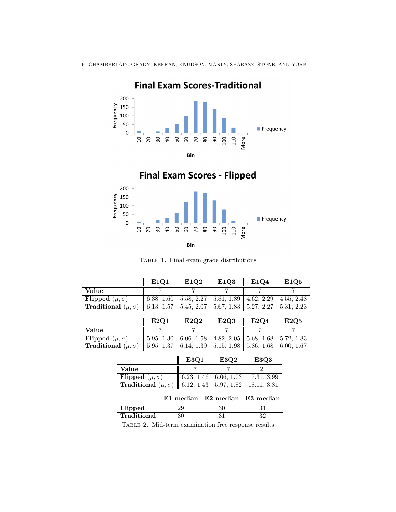

**Final Exam Scores-Traditional** 



<span id="page-7-0"></span>TABLE 1. Final exam grade distributions

<span id="page-7-1"></span>

|                                    |                                    | E1Q1       | E1Q2       | E1Q3                                                | E1Q4        | E1Q5       |
|------------------------------------|------------------------------------|------------|------------|-----------------------------------------------------|-------------|------------|
| Value                              |                                    | 7          | 7          | 7                                                   | 7           | 7          |
| Flipped $(\mu, \sigma)$            |                                    | 6.38, 1.60 | 5.58, 2.27 | 5.81, 1.89                                          | 4.62, 2.29  | 4.55, 2.48 |
| <b>Traditional</b> $(\mu, \sigma)$ |                                    | 6.13, 1.57 | 5.45, 2.07 | 5.67, 1.83                                          | 5.27, 2.27  | 5.31, 2.23 |
|                                    |                                    |            |            |                                                     |             |            |
|                                    |                                    | E2Q1       | E2Q2       | E2Q3                                                | E2Q4        | E2Q5       |
| Value                              |                                    |            | 7          | 7                                                   | 7           | 7          |
| Flipped $(\mu, \sigma)$            |                                    | 5.95, 1.30 | 6.06, 1.58 | 4.82, 2.05                                          | 5.68, 1.68  | 5.72, 1.83 |
| <b>Traditional</b> $(\mu, \sigma)$ |                                    | 5.95, 1.37 | 6.14, 1.39 | 5.15, 1.98                                          | 5.86, 1.68  | 6.00, 1.67 |
|                                    |                                    |            |            |                                                     |             |            |
|                                    |                                    |            | E3Q1       | E3Q2                                                | E3Q3        |            |
| Value                              |                                    |            |            |                                                     | 21          |            |
|                                    | Flipped $(\mu, \sigma)$            |            | 6.23, 1.46 | 6.06, 1.73                                          | 17.31, 3.99 |            |
|                                    | <b>Traditional</b> $(\mu, \sigma)$ |            | 6.12, 1.43 | 5.97, 1.82                                          | 18.11, 3.81 |            |
|                                    |                                    |            |            |                                                     |             |            |
|                                    |                                    |            | E1 median  | E2 median                                           | E3 median   |            |
| Flipped                            |                                    |            | 29         | 30                                                  | 31          |            |
|                                    | Traditional                        |            | 30         | 31                                                  | 32          |            |
|                                    |                                    |            |            | TABLE 2. Mid-term examination free response results |             |            |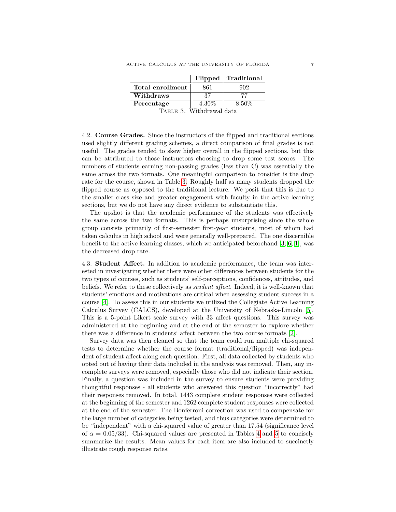|                  |          | $\parallel$ Flipped $\parallel$ Traditional |
|------------------|----------|---------------------------------------------|
| Total enrollment | 861      | 902                                         |
| Withdraws        | 37       |                                             |
| Percentage       | $4.30\%$ | 8.50%                                       |
|                  |          |                                             |

<span id="page-8-0"></span>Table 3. Withdrawal data

4.2. Course Grades. Since the instructors of the flipped and traditional sections used slightly different grading schemes, a direct comparison of final grades is not useful. The grades tended to skew higher overall in the flipped sections, but this can be attributed to those instructors choosing to drop some test scores. The numbers of students earning non-passing grades (less than C) was essentially the same across the two formats. One meaningful comparison to consider is the drop rate for the course, shown in Table [3.](#page-8-0) Roughly half as many students dropped the flipped course as opposed to the traditional lecture. We posit that this is due to the smaller class size and greater engagement with faculty in the active learning sections, but we do not have any direct evidence to substantiate this.

The upshot is that the academic performance of the students was effectively the same across the two formats. This is perhaps unsurprising since the whole group consists primarily of first-semester first-year students, most of whom had taken calculus in high school and were generally well-prepared. The one discernible benefit to the active learning classes, which we anticipated beforehand [\[3,](#page-13-0) [6,](#page-13-1) [1\]](#page-13-2), was the decreased drop rate.

4.3. Student Affect. In addition to academic performance, the team was interested in investigating whether there were other differences between students for the two types of courses, such as students' self-perceptions, confidences, attitudes, and beliefs. We refer to these collectively as *student affect*. Indeed, it is well-known that students' emotions and motivations are critical when assessing student success in a course [\[4\]](#page-13-3). To assess this in our students we utilized the Collegiate Active Learning Calculus Survey (CALCS), developed at the University of Nebraska-Lincoln [\[5\]](#page-13-4). This is a 5-point Likert scale survey with 33 affect questions. This survey was administered at the beginning and at the end of the semester to explore whether there was a difference in students' affect between the two course formats [\[2\]](#page-13-5).

Survey data was then cleaned so that the team could run multiple chi-squared tests to determine whether the course format (traditional/flipped) was independent of student affect along each question. First, all data collected by students who opted out of having their data included in the analysis was removed. Then, any incomplete surveys were removed, especially those who did not indicate their section. Finally, a question was included in the survey to ensure students were providing thoughtful responses - all students who answered this question "incorrectly" had their responses removed. In total, 1443 complete student responses were collected at the beginning of the semester and 1262 complete student responses were collected at the end of the semester. The Bonferroni correction was used to compensate for the large number of categories being tested, and thus categories were determined to be "independent" with a chi-squared value of greater than 17.54 (significance level of  $\alpha = 0.05/33$ ). Chi-squared values are presented in Tables [4](#page-9-0) and [5](#page-10-0) to concisely summarize the results. Mean values for each item are also included to succinctly illustrate rough response rates.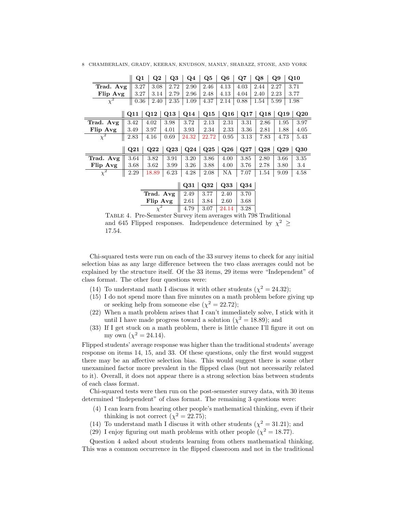| 8 CHAMBERLAIN, GRADY, KEERAN, KNUDSON, MANLY, SHABAZZ, STONE, AND YORK |  |  |  |                                                                                                                                                        |  |  |
|------------------------------------------------------------------------|--|--|--|--------------------------------------------------------------------------------------------------------------------------------------------------------|--|--|
|                                                                        |  |  |  | $\parallel$ Q1 $\parallel$ Q2 $\parallel$ Q3 $\parallel$ Q4 $\parallel$ Q5 $\parallel$ Q6 $\parallel$ Q7 $\parallel$ Q8 $\parallel$ Q9 $\parallel$ Q10 |  |  |

| Trad. Avg           | 3.27 | 3.08  | 2.72      | 2.90                              | 2.46      | 4.13      | 4.03      | 2.44 | 2.27 | 3.71 |
|---------------------|------|-------|-----------|-----------------------------------|-----------|-----------|-----------|------|------|------|
| Flip Avg            | 3.27 | 3.14  | 2.79      | 2.96                              | 2.48      | 4.13      | 4.04      | 2.40 | 2.23 | 3.77 |
| $\chi^2$            | 0.36 | 2.40  | 2.35      | 1.09                              | 4.37      | 2.14      | 0.88      | 1.54 | 5.99 | 1.98 |
|                     |      |       |           |                                   |           |           |           |      |      |      |
|                     | Q11  | Q12   | $\bf Q13$ | Q14                               | Q15       | Q16       | Q17       | Q18  | Q19  | Q20  |
| Trad. Avg           | 3.42 | 4.02  | 3.98      | 3.72                              | 2.13      | 2.31      | 3.31      | 2.86 | 1.95 | 3.97 |
| Flip Avg            | 3.49 | 3.97  | 4.01      | 3.93                              | 2.34      | 2.33      | 3.36      | 2.81 | 1.88 | 4.05 |
| $\chi^2$            | 2.83 | 4.16  | 0.69      | 24.32                             | 22.72     | 0.95      | 3.13      | 7.83 | 4.73 | 5.43 |
|                     |      |       |           |                                   |           |           |           |      |      |      |
|                     | Q21  | Q22   | $\bf Q23$ | $\bf Q24$                         | $\bf Q25$ | $\bf Q26$ | $\rm Q27$ | Q28  | Q29  | Q30  |
| Trad. Avg           | 3.64 | 3.82  | 3.91      | 3.20                              | 3.86      | 4.00      | 3.85      | 2.80 | 3.66 | 3.35 |
| Flip Avg            | 3.68 | 3.62  | 3.99      | 3.26                              | 3.88      | 4.00      | 3.76      | 2.78 | 3.80 | 3.4  |
| $\overline{\chi}^2$ | 2.29 | 18.89 | 6.23      | 4.28                              | 2.08      | ΝA        | 7.07      | 1.54 | 9.09 | 4.58 |
|                     |      |       |           | $\parallel$ 031   032   033   034 |           |           |           |      |      |      |

|                            |      |      | Q31   Q32   Q33   Q34 |      |
|----------------------------|------|------|-----------------------|------|
| Trad. Avg $\parallel 2.49$ |      | 3.77 | 2.40                  | 3.70 |
| Flip Avg                   | 2.61 | 3.84 | 2.60                  | 3.68 |
|                            | 4.79 | 3.07 | 24.14                 | 3.28 |

<span id="page-9-0"></span> $\overline{a}$ 

Table 4. Pre-Semester Survey item averages with 798 Traditional and 645 Flipped responses. Independence determined by  $\chi^2$   $\geq$ 17.54.

Chi-squared tests were run on each of the 33 survey items to check for any initial selection bias as any large difference between the two class averages could not be explained by the structure itself. Of the 33 items, 29 items were "Independent" of class format. The other four questions were:

- (14) To understand math I discuss it with other students ( $\chi^2 = 24.32$ );
- (15) I do not spend more than five minutes on a math problem before giving up or seeking help from someone else  $(\chi^2 = 22.72)$ ;
- (22) When a math problem arises that I can't immediately solve, I stick with it until I have made progress toward a solution ( $\chi^2 = 18.89$ ); and
- (33) If I get stuck on a math problem, there is little chance I'll figure it out on my own  $(\chi^2 = 24.14)$ .

Flipped students' average response was higher than the traditional students' average response on items 14, 15, and 33. Of these questions, only the first would suggest there may be an affective selection bias. This would suggest there is some other unexamined factor more prevalent in the flipped class (but not necessarily related to it). Overall, it does not appear there is a strong selection bias between students of each class format.

Chi-squared tests were then run on the post-semester survey data, with 30 items determined "Independent" of class format. The remaining 3 questions were:

- (4) I can learn from hearing other people's mathematical thinking, even if their thinking is not correct  $(\chi^2 = 22.75)$ ;
- (14) To understand math I discuss it with other students ( $\chi^2 = 31.21$ ); and
- (29) I enjoy figuring out math problems with other people ( $\chi^2 = 18.77$ ).

Question 4 asked about students learning from others mathematical thinking. This was a common occurrence in the flipped classroom and not in the traditional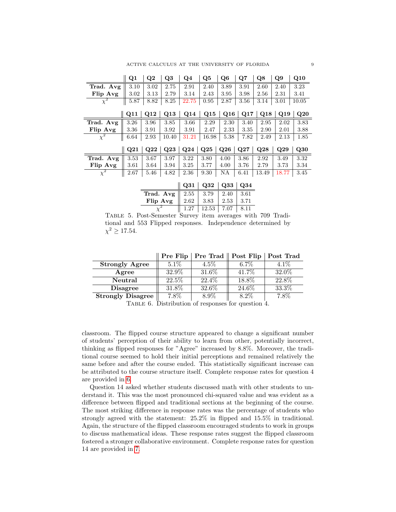|                     | Q1   | $\bf Q2$ | Q3    | Q4       | Q5    | Q6                      | $_{\rm Q7}$ | Q8           | Q9        | Q10   |
|---------------------|------|----------|-------|----------|-------|-------------------------|-------------|--------------|-----------|-------|
| Trad. Avg           | 3.10 | 3.02     | 2.75  | 2.91     | 2.40  | 3.89                    | 3.91        | 2.60         | 2.40      | 3.23  |
| Flip Avg            | 3.02 | 3.13     | 2.79  | 3.14     | 2.43  | 3.95                    | 3.98        | 2.56         | 2.31      | 3.41  |
| $\chi^2$            | 5.87 | 8.82     | 8.25  | 22.75    | 0.95  | 2.87                    | 3.56        | 3.14         | 3.01      | 10.05 |
|                     | Q11  | Q12      | Q13   | Q14      | Q15   | Q16                     | Q17         | $\bf Q18$    | $\bf Q19$ | Q20   |
| Trad. Avg           | 3.26 | 3.96     | 3.85  | 3.66     | 2.29  | 2.30                    | 3.40        | 2.95         | 2.02      | 3.83  |
| Flip Avg            | 3.36 | 3.91     | 3.92  | 3.91     | 2.47  | 2.33                    | 3.35        | 2.90         | 2.01      | 3.88  |
| $\chi^2$            | 6.64 | 2.93     | 10.40 | 31.21    | 16.98 | 5.38                    | 7.82        | 2.49         | 2.13      | 1.85  |
|                     | Q21  | Q22      | Q23   | Q24      | Q25   | Q26                     | Q27         | $_{\rm Q28}$ | Q29       | Q30   |
| Trad. Avg           | 3.53 | 3.67     | 3.97  | 3.22     | 3.80  | 4.00                    | 3.86        | 2.92         | 3.49      | 3.32  |
| Flip Avg            | 3.61 | 3.64     | 3.94  | 3.25     | 3.77  | 4.00                    | 3.76        | 2.79         | 3.73      | 3.34  |
| $\overline{\chi}^2$ | 2.67 | 5.46     | 4.82  | 2.36     | 9.30  | ΝA                      | 6.41        | 13.49        | 18.77     | 3.45  |
|                     |      |          |       | II O31 I |       | $032 \mid 033 \mid 034$ |             |              |           |       |

<span id="page-10-0"></span>

|                            |      | Q31   Q32   Q33   Q34 |      |       |
|----------------------------|------|-----------------------|------|-------|
| Trad. Avg $\parallel 2.55$ |      | 3.79                  | 2.40 | -3.61 |
| Flip Avg                   | 2.62 | 3.83                  | 2.53 | 3.71  |
|                            | 1 27 | 12.53                 | 7.07 |       |

TABLE 5. Post-Semester Survey item averages with 709 Traditional and 553 Flipped responses. Independence determined by  $\chi^2 \ge 17.54$ .

|                          | Pre Flip | <b>Pre Trad</b>   <b>Post Flip</b> |         | Post Trad |
|--------------------------|----------|------------------------------------|---------|-----------|
| <b>Strongly Agree</b>    | $5.1\%$  | $4.5\%$                            | $6.7\%$ | $4.1\%$   |
| Agree                    | 32.9%    | 31.6%                              | 41.7%   | 32.0%     |
| Neutral                  | 22.5%    | 22.4%                              | 18.8%   | 22.8%     |
| <b>Disagree</b>          | 31.8%    | 32.6%                              | 24.6%   | 33.3%     |
| <b>Strongly Disagree</b> | 7.8%     | $8.9\%$                            | 8.2%    | 7.8%      |

<span id="page-10-1"></span>TABLE 6. Distribution of responses for question  $4$ .

classroom. The flipped course structure appeared to change a significant number of students' perception of their ability to learn from other, potentially incorrect, thinking as flipped responses for "Agree" increased by 8.8%. Moreover, the traditional course seemed to hold their initial perceptions and remained relatively the same before and after the course ended. This statistically significant increase can be attributed to the course structure itself. Complete response rates for question 4 are provided in [6.](#page-10-1)

Question 14 asked whether students discussed math with other students to understand it. This was the most pronounced chi-squared value and was evident as a difference between flipped and traditional sections at the beginning of the course. The most striking difference in response rates was the percentage of students who strongly agreed with the statement: 25.2% in flipped and 15.5% in traditional. Again, the structure of the flipped classroom encouraged students to work in groups to discuss mathematical ideas. These response rates suggest the flipped classroom fostered a stronger collaborative environment. Complete response rates for question 14 are provided in [7.](#page-11-1)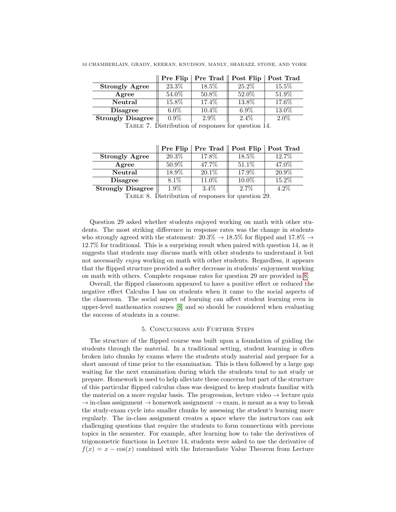| 10 CHAMBERLAIN. GRADY. KEERAN. KNUDSON. MANLY. SHABAZZ. STONE. AND YORK |
|-------------------------------------------------------------------------|
|-------------------------------------------------------------------------|

|                          | Pre Flip | <b>Pre Trad</b> $\parallel$ <b>Post Flip</b> |          | Post Trad |
|--------------------------|----------|----------------------------------------------|----------|-----------|
| <b>Strongly Agree</b>    | 23.3%    | $18.5\%$                                     | $25.2\%$ | 15.5%     |
| Agree                    | 54.0%    | $50.8\%$                                     | 52.0%    | 51.9%     |
| Neutral                  | 15.8%    | 17.4%                                        | 13.8%    | 17.6%     |
| <b>Disagree</b>          | $6.0\%$  | 10.4%                                        | $6.9\%$  | 13.0%     |
| <b>Strongly Disagree</b> | $0.9\%$  | $2.9\%$                                      | $2.4\%$  | $2.0\%$   |

<span id="page-11-1"></span>Table 7. Distribution of responses for question 14.

|                          | Pre Flip |          | $Pre$ Trad $\parallel$ Post Flip | Post Trad |
|--------------------------|----------|----------|----------------------------------|-----------|
| <b>Strongly Agree</b>    | 20.3\%   | 17.8%    | 18.5%                            | 12.7%     |
| Agree                    | $50.9\%$ | 47.7%    | 51.1\%                           | 47.0%     |
| Neutral                  | $18.9\%$ | $20.1\%$ | $17.9\%$                         | 20.9%     |
| <b>Disagree</b>          | 8.1%     | 11.0%    | 10.0%                            | 15.2%     |
| <b>Strongly Disagree</b> | 1.9%     | $3.4\%$  | 2.7%                             | $4.2\%$   |

<span id="page-11-2"></span>Table 8. Distribution of responses for question 29.

Question 29 asked whether students enjoyed working on math with other students. The most striking difference in response rates was the change in students who strongly agreed with the statement:  $20.3\% \rightarrow 18.5\%$  for flipped and  $17.8\% \rightarrow$ 12.7% for traditional. This is a surprising result when paired with question 14, as it suggests that students may discuss math with other students to understand it but not necessarily enjoy working on math with other students. Regardless, it appears that the flipped structure provided a softer decrease in students' enjoyment working on math with others. Complete response rates for question 29 are provided in [8.](#page-11-2)

Overall, the flipped classroom appeared to have a positive effect or reduced the negative effect Calculus I has on students when it came to the social aspects of the classroom. The social aspect of learning can affect student learning even in upper-level mathematics courses [\[8\]](#page-14-1) and so should be considered when evaluating the success of students in a course.

#### 5. Conclusions and Further Steps

<span id="page-11-0"></span>The structure of the flipped course was built upon a foundation of guiding the students through the material. In a traditional setting, student learning is often broken into chunks by exams where the students study material and prepare for a short amount of time prior to the examination. This is then followed by a large gap waiting for the next examination during which the students tend to not study or prepare. Homework is used to help alleviate these concerns but part of the structure of this particular flipped calculus class was designed to keep students familiar with the material on a more regular basis. The progression, lecture video  $\rightarrow$  lecture quiz  $\rightarrow$  in-class assignment  $\rightarrow$  homework assignment  $\rightarrow$  exam, is meant as a way to break the study-exam cycle into smaller chunks by assessing the student's learning more regularly. The in-class assignment creates a space where the instructors can ask challenging questions that require the students to form connections with previous topics in the semester. For example, after learning how to take the derivatives of trigonometric functions in Lecture 14, students were asked to use the derivative of  $f(x) = x - cos(x)$  combined with the Intermediate Value Theorem from Lecture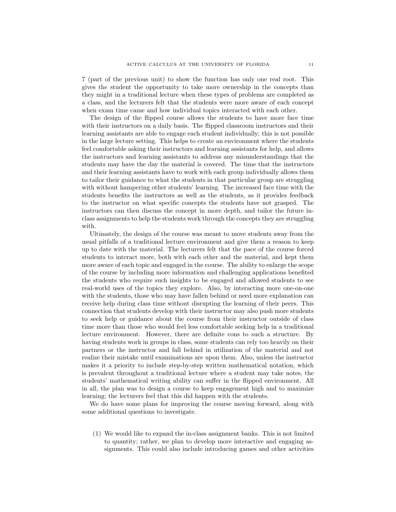7 (part of the previous unit) to show the function has only one real root. This gives the student the opportunity to take more ownership in the concepts than they might in a traditional lecture when these types of problems are completed as a class, and the lecturers felt that the students were more aware of each concept when exam time came and how individual topics interacted with each other.

The design of the flipped course allows the students to have more face time with their instructors on a daily basis. The flipped classroom instructors and their learning assistants are able to engage each student individually; this is not possible in the large lecture setting. This helps to create an environment where the students feel comfortable asking their instructors and learning assistants for help, and allows the instructors and learning assistants to address any misunderstandings that the students may have the day the material is covered. The time that the instructors and their learning assistants have to work with each group individually allows them to tailor their guidance to what the students in that particular group are struggling with without hampering other students' learning. The increased face time with the students benefits the instructors as well as the students, as it provides feedback to the instructor on what specific concepts the students have not grasped. The instructors can then discuss the concept in more depth, and tailor the future inclass assignments to help the students work through the concepts they are struggling with.

Ultimately, the design of the course was meant to move students away from the usual pitfalls of a traditional lecture environment and give them a reason to keep up to date with the material. The lecturers felt that the pace of the course forced students to interact more, both with each other and the material, and kept them more aware of each topic and engaged in the course. The ability to enlarge the scope of the course by including more information and challenging applications benefited the students who require such insights to be engaged and allowed students to see real-world uses of the topics they explore. Also, by interacting more one-on-one with the students, those who may have fallen behind or need more explanation can receive help during class time without disrupting the learning of their peers. This connection that students develop with their instructor may also push more students to seek help or guidance about the course from their instructor outside of class time more than those who would feel less comfortable seeking help in a traditional lecture environment. However, there are definite cons to such a structure. By having students work in groups in class, some students can rely too heavily on their partners or the instructor and fall behind in utilization of the material and not realize their mistake until examinations are upon them. Also, unless the instructor makes it a priority to include step-by-step written mathematical notation, which is prevalent throughout a traditional lecture where a student may take notes, the students' mathematical writing ability can suffer in the flipped environment. All in all, the plan was to design a course to keep engagement high and to maximize learning; the lecturers feel that this did happen with the students.

We do have some plans for improving the course moving forward, along with some additional questions to investigate.

(1) We would like to expand the in-class assignment banks. This is not limited to quantity; rather, we plan to develop more interactive and engaging assignments. This could also include introducing games and other activities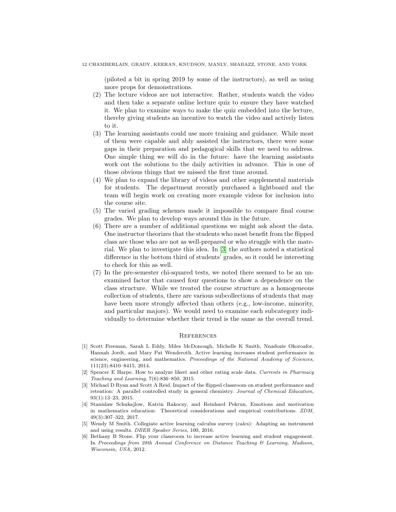(piloted a bit in spring 2019 by some of the instructors), as well as using more props for demonstrations.

- (2) The lecture videos are not interactive. Rather, students watch the video and then take a separate online lecture quiz to ensure they have watched it. We plan to examine ways to make the quiz embedded into the lecture, thereby giving students an incentive to watch the video and actively listen to it.
- (3) The learning assistants could use more training and guidance. While most of them were capable and ably assisted the instructors, there were some gaps in their preparation and pedagogical skills that we need to address. One simple thing we will do in the future: have the learning assistants work out the solutions to the daily activities in advance. This is one of those obvious things that we missed the first time around.
- (4) We plan to expand the library of videos and other supplemental materials for students. The department recently purchased a lightboard and the team will begin work on creating more example videos for inclusion into the course site.
- (5) The varied grading schemes made it impossible to compare final course grades. We plan to develop ways around this in the future.
- (6) There are a number of additional questions we might ask about the data. One instructor theorizes that the students who most benefit from the flipped class are those who are not as well-prepared or who struggle with the material. We plan to investigate this idea. In [\[3\]](#page-13-0) the authors noted a statistical difference in the bottom third of students' grades, so it could be interesting to check for this as well.
- (7) In the pre-semester chi-squared tests, we noted there seemed to be an unexamined factor that caused four questions to show a dependence on the class structure. While we treated the course structure as a homogeneous collection of students, there are various subcollections of students that may have been more strongly affected than others (e.g., low-income, minority, and particular majors). We would need to examine each subcategory individually to determine whether their trend is the same as the overall trend.

#### **REFERENCES**

- <span id="page-13-2"></span>[1] Scott Freeman, Sarah L Eddy, Miles McDonough, Michelle K Smith, Nnadozie Okoroafor, Hannah Jordt, and Mary Pat Wenderoth. Active learning increases student performance in science, engineering, and mathematics. Proceedings of the National Academy of Sciences, 111(23):8410–8415, 2014.
- <span id="page-13-5"></span>[2] Spencer E Harpe. How to analyze likert and other rating scale data. Currents in Pharmacy Teaching and Learning, 7(6):836–850, 2015.
- <span id="page-13-0"></span>[3] Michael D Ryan and Scott A Reid. Impact of the flipped classroom on student performance and retention: A parallel controlled study in general chemistry. Journal of Chemical Education, 93(1):13–23, 2015.
- <span id="page-13-3"></span>[4] Stanislaw Schukajlow, Katrin Rakoczy, and Reinhard Pekrun. Emotions and motivation in mathematics education: Theoretical considerations and empirical contributions. ZDM, 49(3):307–322, 2017.
- <span id="page-13-4"></span>[5] Wendy M Smith. Collegiate active learning calculus survey (calcs): Adapting an instrument and using results. DBER Speaker Series, 100, 2016.
- <span id="page-13-1"></span>[6] Bethany B Stone. Flip your classroom to increase active learning and student engagement. In Proceedings from 28th Annual Conference on Distance Teaching & Learning, Madison, Wisconsin, USA, 2012.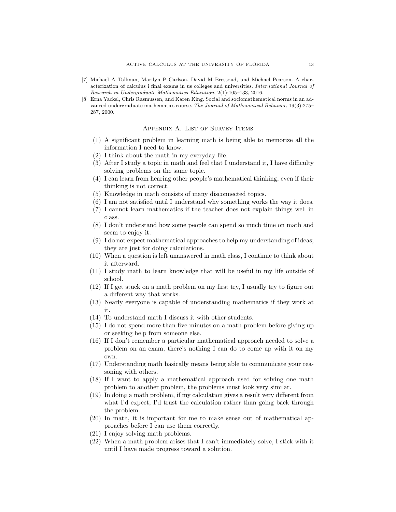- <span id="page-14-0"></span>[7] Michael A Tallman, Marilyn P Carlson, David M Bressoud, and Michael Pearson. A characterization of calculus i final exams in us colleges and universities. International Journal of Research in Undergraduate Mathematics Education, 2(1):105–133, 2016.
- <span id="page-14-1"></span>[8] Erna Yackel, Chris Rasmussen, and Karen King. Social and sociomathematical norms in an advanced undergraduate mathematics course. The Journal of Mathematical Behavior, 19(3):275– 287, 2000.

#### Appendix A. List of Survey Items

- (1) A significant problem in learning math is being able to memorize all the information I need to know.
- (2) I think about the math in my everyday life.
- (3) After I study a topic in math and feel that I understand it, I have difficulty solving problems on the same topic.
- (4) I can learn from hearing other people's mathematical thinking, even if their thinking is not correct.
- (5) Knowledge in math consists of many disconnected topics.
- (6) I am not satisfied until I understand why something works the way it does.
- (7) I cannot learn mathematics if the teacher does not explain things well in class.
- (8) I don't understand how some people can spend so much time on math and seem to enjoy it.
- (9) I do not expect mathematical approaches to help my understanding of ideas; they are just for doing calculations.
- (10) When a question is left unanswered in math class, I continue to think about it afterward.
- (11) I study math to learn knowledge that will be useful in my life outside of school.
- (12) If I get stuck on a math problem on my first try, I usually try to figure out a different way that works.
- (13) Nearly everyone is capable of understanding mathematics if they work at it.
- (14) To understand math I discuss it with other students.
- (15) I do not spend more than five minutes on a math problem before giving up or seeking help from someone else.
- (16) If I don't remember a particular mathematical approach needed to solve a problem on an exam, there's nothing I can do to come up with it on my own.
- (17) Understanding math basically means being able to communicate your reasoning with others.
- (18) If I want to apply a mathematical approach used for solving one math problem to another problem, the problems must look very similar.
- (19) In doing a math problem, if my calculation gives a result very different from what I'd expect, I'd trust the calculation rather than going back through the problem.
- (20) In math, it is important for me to make sense out of mathematical approaches before I can use them correctly.
- (21) I enjoy solving math problems.
- (22) When a math problem arises that I can't immediately solve, I stick with it until I have made progress toward a solution.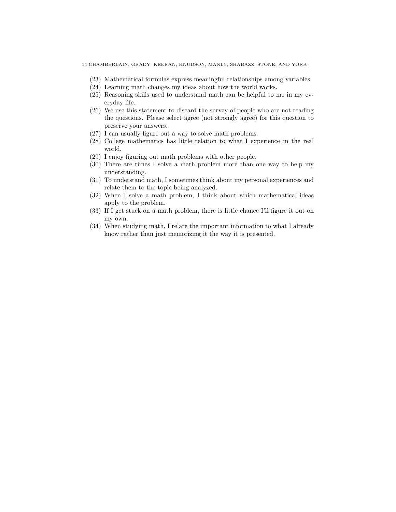- (23) Mathematical formulas express meaningful relationships among variables.
- (24) Learning math changes my ideas about how the world works.
- (25) Reasoning skills used to understand math can be helpful to me in my everyday life.
- (26) We use this statement to discard the survey of people who are not reading the questions. Please select agree (not strongly agree) for this question to preserve your answers.
- (27) I can usually figure out a way to solve math problems.
- (28) College mathematics has little relation to what I experience in the real world.
- (29) I enjoy figuring out math problems with other people.
- (30) There are times I solve a math problem more than one way to help my understanding.
- (31) To understand math, I sometimes think about my personal experiences and relate them to the topic being analyzed.
- (32) When I solve a math problem, I think about which mathematical ideas apply to the problem.
- (33) If I get stuck on a math problem, there is little chance I'll figure it out on my own.
- (34) When studying math, I relate the important information to what I already know rather than just memorizing it the way it is presented.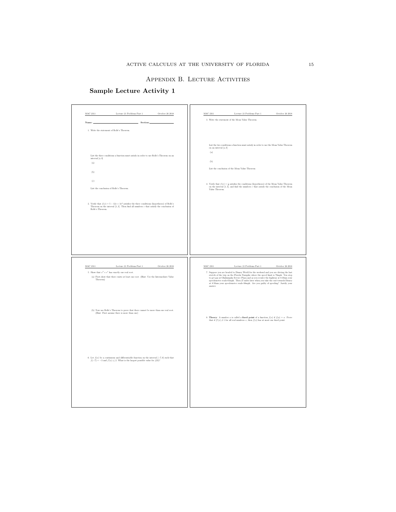#### Appendix B. Lecture Activities

## <span id="page-16-0"></span>Sample Lecture Activity 1

| $\rm MAC$ 2311<br>Lecture 21 Problems Part $1\,$<br>October 26 $2018$                                                                                                                       | $\rm MAC$ 2311<br>Lecture 21 Problems Part $1\,$<br>October 26 $2018$                                                                                                                                                                                              |
|---------------------------------------------------------------------------------------------------------------------------------------------------------------------------------------------|--------------------------------------------------------------------------------------------------------------------------------------------------------------------------------------------------------------------------------------------------------------------|
|                                                                                                                                                                                             | 3. Write the statement of the Mean Value Theorem.                                                                                                                                                                                                                  |
| Name:<br>Section:                                                                                                                                                                           |                                                                                                                                                                                                                                                                    |
| 1. Write the statement of Rolle's Theorem.                                                                                                                                                  |                                                                                                                                                                                                                                                                    |
|                                                                                                                                                                                             |                                                                                                                                                                                                                                                                    |
|                                                                                                                                                                                             | List the two conditions a function must satisfy in order to use the Mean Value Theorem<br>on an interval $\left[a,b\right]$                                                                                                                                        |
|                                                                                                                                                                                             | (a)                                                                                                                                                                                                                                                                |
| List the three conditions a function must satisfy in order to use Rolle's Theorem on an<br>interval $[a, b]$                                                                                |                                                                                                                                                                                                                                                                    |
| $\left( \mathrm{a}\right)$                                                                                                                                                                  | (b)                                                                                                                                                                                                                                                                |
| (b)                                                                                                                                                                                         | List the conclusion of the Mean Value Theorem                                                                                                                                                                                                                      |
| $\left( \mathrm{c}\right)$                                                                                                                                                                  |                                                                                                                                                                                                                                                                    |
|                                                                                                                                                                                             | 4. Verify that $f(x)=\frac{1}{x}$ satisfies the conditions (hypotheses) of the Mean Value Theorem on the interval [1, 3], and find the numbers $c$ that satisfy the conclusion of the Mean Value Theorem.                                                          |
| List the conclusion of Rolle's Theorem.                                                                                                                                                     |                                                                                                                                                                                                                                                                    |
|                                                                                                                                                                                             |                                                                                                                                                                                                                                                                    |
| 2. Verify that $f(x) = 5 - 12x + 3x^2$ satisfies the three conditions (hypotheses) of Rolle's<br>Theorem on the interval $[1,3]$ . Then find all numbers $c$ that satisfy the conclusion of |                                                                                                                                                                                                                                                                    |
| Rolle's Theorem.                                                                                                                                                                            |                                                                                                                                                                                                                                                                    |
|                                                                                                                                                                                             |                                                                                                                                                                                                                                                                    |
|                                                                                                                                                                                             |                                                                                                                                                                                                                                                                    |
|                                                                                                                                                                                             |                                                                                                                                                                                                                                                                    |
|                                                                                                                                                                                             |                                                                                                                                                                                                                                                                    |
|                                                                                                                                                                                             |                                                                                                                                                                                                                                                                    |
|                                                                                                                                                                                             |                                                                                                                                                                                                                                                                    |
|                                                                                                                                                                                             |                                                                                                                                                                                                                                                                    |
|                                                                                                                                                                                             |                                                                                                                                                                                                                                                                    |
|                                                                                                                                                                                             |                                                                                                                                                                                                                                                                    |
| $\rm MAC$ 2311<br>Lecture 21 Problems Part $1$<br>October 26 2018                                                                                                                           | Lecture 21 Problems Part $1$<br>$\rm MAC$ 2311<br>October 26 $2018$                                                                                                                                                                                                |
| 5. Show that $x^3+e^x$ has exactly one real root.<br>(a) First show that there exists at least one root. (Hint: Use the Intermediate Value                                                  | 7. Suppose you are headed to Disney World for the weekend and you are driving the last<br>stretch of the trip on the Florida Turnpike where the speed limit is 70mph. You stop to get gas at Okahumpka Service Plaza and as you reenter the highway at 8:30am your |
| Theorem)                                                                                                                                                                                    | speedometer reads 65mph. Then 27 miles later when you take the exit towards Disney<br>at 8:50am your speedometer reads 68mph. Are you guilty of speeding? Justify your                                                                                             |
|                                                                                                                                                                                             | answer.                                                                                                                                                                                                                                                            |
|                                                                                                                                                                                             |                                                                                                                                                                                                                                                                    |
|                                                                                                                                                                                             |                                                                                                                                                                                                                                                                    |
| (b) Now use Rolle's Theorem to prove that there cannot be more than one real root.                                                                                                          |                                                                                                                                                                                                                                                                    |
| (Hint: First assume there is more than one)                                                                                                                                                 | 8. Theory: A number a is called a fixed point of a function $f(x)$ if $f(a) = a$ . Prove                                                                                                                                                                           |
|                                                                                                                                                                                             | that if $f'(x)\neq 1$ for all real numbers $x,$ then $f(x)$ has at most one fixed point.                                                                                                                                                                           |
|                                                                                                                                                                                             |                                                                                                                                                                                                                                                                    |
|                                                                                                                                                                                             |                                                                                                                                                                                                                                                                    |
|                                                                                                                                                                                             |                                                                                                                                                                                                                                                                    |
|                                                                                                                                                                                             |                                                                                                                                                                                                                                                                    |
| 6. Let $f(x)$ be a continuous and differentiable function on the interval $[-7,0]$ such that                                                                                                |                                                                                                                                                                                                                                                                    |
| $f(-7) = -3$ and $f'(x) \le 2$ . What is the largest possible value for $f(0)$ ?                                                                                                            |                                                                                                                                                                                                                                                                    |
|                                                                                                                                                                                             |                                                                                                                                                                                                                                                                    |
|                                                                                                                                                                                             |                                                                                                                                                                                                                                                                    |
|                                                                                                                                                                                             |                                                                                                                                                                                                                                                                    |
|                                                                                                                                                                                             |                                                                                                                                                                                                                                                                    |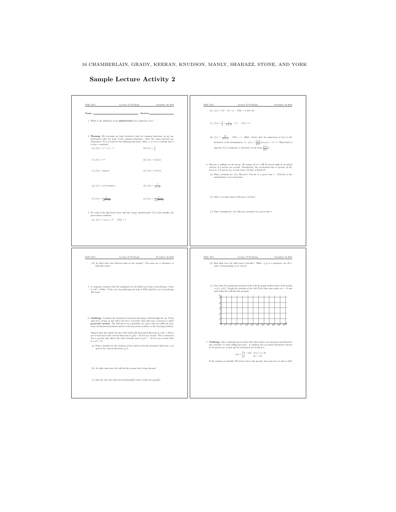16 CHAMBERLAIN, GRADY, KEERAN, KNUDSON, MANLY, SHABAZZ, STONE, AND YORK

|                                                                        | Lecture $27$ Problems<br>November 16 $2018$                                                                                                                                                                                                                                                                                                                                  | (b) $f(x) = 3x^2 - 4x + 2$ , $F(0) = 2,235,141$                                                                                                                                                                                                                                                                                            |
|------------------------------------------------------------------------|------------------------------------------------------------------------------------------------------------------------------------------------------------------------------------------------------------------------------------------------------------------------------------------------------------------------------------------------------------------------------|--------------------------------------------------------------------------------------------------------------------------------------------------------------------------------------------------------------------------------------------------------------------------------------------------------------------------------------------|
| Name:                                                                  | Section:                                                                                                                                                                                                                                                                                                                                                                     |                                                                                                                                                                                                                                                                                                                                            |
| 1. What is the definition of an antiderivative for a function $f(x)$ ? |                                                                                                                                                                                                                                                                                                                                                                              | (c) $f(x) = \frac{2}{x} + \frac{1}{1+x^2} - e^{6x}$ , $F(1) = 0$                                                                                                                                                                                                                                                                           |
| is also a constant).<br>(a) $f(x) = x^n, n \neq -1$                    | 2. Warmup: By reversing our basic derivative rules for common functions, we get an-<br>tiderivative rules for most of the common functions. State the (most general) antiderivative $F(x)$ of each for the following functions. (Here, $a\neq 0$ is a constant and $n$<br>(b) $f(x) = \frac{1}{x}$                                                                           | (d) $f(x) = \frac{2x}{x^2+1}$ , $F(0) = 1$ . (Hint: Notice that the numerator of $f(x)$ is the derivative of the denominator, i.e., $f(x) = \frac{g'(x)}{g(x)}$ for $g(x) = x^2 + 1$ . What kind of<br>function $F(x)$ would give a derivative of the form $\frac{g'(x)}{g(x)}$ ?)                                                         |
|                                                                        |                                                                                                                                                                                                                                                                                                                                                                              |                                                                                                                                                                                                                                                                                                                                            |
| (c) $f(x) = e^{ax}$                                                    | (d) $f(x) = \cos(ax)$                                                                                                                                                                                                                                                                                                                                                        | 4. Sheeraz is walking on the moon. He jumps off of a cliff 20 meters high at an initial<br>velocity of 2 meters per second. Fortunately, the acceleration due to gravity on the                                                                                                                                                            |
| (e) $f(x) = \sin(ax)$                                                  | (f) $f(x) = \sec^2(x)$                                                                                                                                                                                                                                                                                                                                                       | moon is -1.6 meters per second (only $1/6$ that of Earth's!).<br>(a) Find a formula for $v(t)$ , Sheeraz's velocity at a given time $t$ . (Velocity is the<br>antiderivative of acceleration).                                                                                                                                             |
| $(q) f(x) = \sec(x) \tan(x)$                                           | (h) $f(x) = \frac{1}{1+x^2}$                                                                                                                                                                                                                                                                                                                                                 |                                                                                                                                                                                                                                                                                                                                            |
| (i) $f(x) = \frac{1}{\sqrt{1 - x^2}}$                                  | (j) $f(x) = \frac{1}{\sqrt{x^2 - 1}}$                                                                                                                                                                                                                                                                                                                                        | (b) After 3 seconds what is Sheeraz's velocity?                                                                                                                                                                                                                                                                                            |
| given intial condition.<br>(a) $f(x) = \cos(x) + x^5$ , $F(0) = 1$     | 3. For each of the functions below, find the <i>unique</i> antiderivative $F(x)$ that satisfies the                                                                                                                                                                                                                                                                          | (c) Find a formula for $r(t)$ , Sheeraz's position at a given time $t$ .                                                                                                                                                                                                                                                                   |
|                                                                        |                                                                                                                                                                                                                                                                                                                                                                              |                                                                                                                                                                                                                                                                                                                                            |
| $\rm MAC$ 2311<br>find this value)                                     | Lecture $27$ Problems<br>November 16 2018<br>(d) At what time does Sheeraz land on the ground? (You may use a calculator to                                                                                                                                                                                                                                                  | MAC 2311<br>Lecture $27$ Problems<br>November 16 2018<br>(d) How high does the ball travel vertically? (Hint: $s_y(t)$ is a parabola, use the $t$<br>value corresponding to its vertex)                                                                                                                                                    |
| 100 items                                                              | 5. A company estimates that the marginal cost (in dollars per item) of producing $x$ items<br>is $1.92 - 0.002x$ . If the cost of producting one item is \$562, find the cost of producing                                                                                                                                                                                   | (e) Note that if we graph the position of the ball the graph would consist of the points<br>$\left( s_{x}(t),s_{y}(t)\right) .$ Graph the position of the ball (Note that time starts at $t=0$ and<br>ends when the ball hits the ground)                                                                                                  |
|                                                                        | 6. Challenge: Consider the situation of someone throwing a ball through the air. If the<br>only force acting on the ball is the force of gravity, then this type of motion is called<br>projectile motion. The ball moves in a parabolic arc and so has two different posi-<br>tions, its horizontal position and its vertical position (relative to the starting position). | ś<br>ź<br>$10^{1}$<br>12<br>$14^{\frac{1}{2}}$<br>16 <sup>1</sup><br>$\overline{18}$<br>$\overline{20}$<br>$\overline{22}$                                                                                                                                                                                                                 |
| is $a_x(t)=0).$                                                        | Suppose that the initial velocity of the ball in the horizontal direction is $v_x(0)=20$ feet<br>per second and in the vertical direction is $v_y(0) = 16$ feet per second. The acceleration due to gravity only affects the ball vertically and is $a_y(t) = -32$ feet per second (that                                                                                     | 7. Challenge: Since raindrops grow as they fall, their surface area increases and therefore                                                                                                                                                                                                                                                |
| and in the vertical direction $s_y(t).$                                | (a) Find a formula for the position of the ball in both the horizontal direction $s_-(t)$                                                                                                                                                                                                                                                                                    | the resistance to their falling increases. A raindrop has an initial downward velocity of $10$ meters per second and its downward acceleration is<br>$a(t)=\begin{cases} 9-0.9t & \text{if } 0\leq t\leq 10\\ 0 & \text{if } t>10 \end{cases}$<br>If the raindrop is initially 500 meters above the ground, how long does it take to fall? |
| (b) At what time does the ball hit the ground after being thrown?      |                                                                                                                                                                                                                                                                                                                                                                              |                                                                                                                                                                                                                                                                                                                                            |

Sample Lecture Activity 2